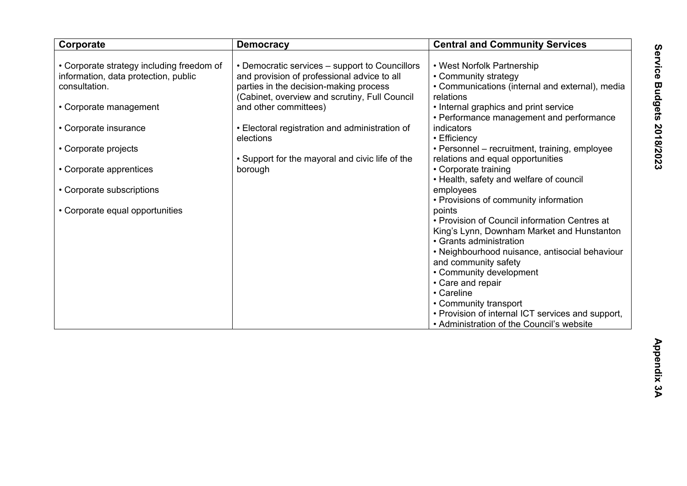| Corporate                                                                                                                                                                                                                                                                | <b>Democracy</b>                                                                                                                                                                                                                                                                                                                               | <b>Central and Community Services</b>                                                                                                                                                                                                                                                                                                                                                                                                                                                                                                                                                                                                                              |
|--------------------------------------------------------------------------------------------------------------------------------------------------------------------------------------------------------------------------------------------------------------------------|------------------------------------------------------------------------------------------------------------------------------------------------------------------------------------------------------------------------------------------------------------------------------------------------------------------------------------------------|--------------------------------------------------------------------------------------------------------------------------------------------------------------------------------------------------------------------------------------------------------------------------------------------------------------------------------------------------------------------------------------------------------------------------------------------------------------------------------------------------------------------------------------------------------------------------------------------------------------------------------------------------------------------|
| • Corporate strategy including freedom of<br>information, data protection, public<br>consultation.<br>• Corporate management<br>• Corporate insurance<br>• Corporate projects<br>• Corporate apprentices<br>• Corporate subscriptions<br>• Corporate equal opportunities | • Democratic services – support to Councillors<br>and provision of professional advice to all<br>parties in the decision-making process<br>(Cabinet, overview and scrutiny, Full Council<br>and other committees)<br>• Electoral registration and administration of<br>elections<br>• Support for the mayoral and civic life of the<br>borough | • West Norfolk Partnership<br>• Community strategy<br>• Communications (internal and external), media<br>relations<br>• Internal graphics and print service<br>• Performance management and performance<br>indicators<br>• Efficiency<br>• Personnel – recruitment, training, employee<br>relations and equal opportunities<br>• Corporate training<br>• Health, safety and welfare of council<br>employees<br>• Provisions of community information<br>points<br>• Provision of Council information Centres at<br>King's Lynn, Downham Market and Hunstanton<br>• Grants administration<br>• Neighbourhood nuisance, antisocial behaviour<br>and community safety |
|                                                                                                                                                                                                                                                                          |                                                                                                                                                                                                                                                                                                                                                | • Community development                                                                                                                                                                                                                                                                                                                                                                                                                                                                                                                                                                                                                                            |
|                                                                                                                                                                                                                                                                          |                                                                                                                                                                                                                                                                                                                                                | • Careline                                                                                                                                                                                                                                                                                                                                                                                                                                                                                                                                                                                                                                                         |
|                                                                                                                                                                                                                                                                          |                                                                                                                                                                                                                                                                                                                                                | • Provision of internal ICT services and support,                                                                                                                                                                                                                                                                                                                                                                                                                                                                                                                                                                                                                  |
|                                                                                                                                                                                                                                                                          |                                                                                                                                                                                                                                                                                                                                                | • Care and repair<br>• Community transport<br>• Administration of the Council's website                                                                                                                                                                                                                                                                                                                                                                                                                                                                                                                                                                            |